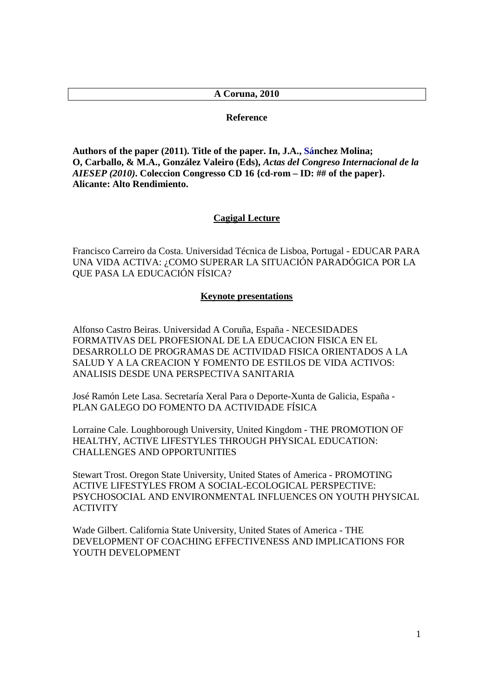# **A Coruna, 2010**

### **Reference**

**Authors of the paper (2011). Title of the paper. In, J.A., Sánchez Molina; O, Carballo, & M.A., González Valeiro (Eds),** *Actas del Congreso Internacional de la AIESEP (2010)***. Coleccion Congresso CD 16 {cd-rom – ID: ## of the paper}. Alicante: Alto Rendimiento.**

#### **Cagigal Lecture**

Francisco Carreiro da Costa. Universidad Técnica de Lisboa, Portugal - EDUCAR PARA UNA VIDA ACTIVA: ¿COMO SUPERAR LA SITUACIÓN PARADÓGICA POR LA QUE PASA LA EDUCACIÓN FÍSICA?

## **Keynote presentations**

Alfonso Castro Beiras. Universidad A Coruña, España - NECESIDADES FORMATIVAS DEL PROFESIONAL DE LA EDUCACION FISICA EN EL DESARROLLO DE PROGRAMAS DE ACTIVIDAD FISICA ORIENTADOS A LA SALUD Y A LA CREACION Y FOMENTO DE ESTILOS DE VIDA ACTIVOS: ANALISIS DESDE UNA PERSPECTIVA SANITARIA

José Ramón Lete Lasa. Secretaría Xeral Para o Deporte-Xunta de Galicia, España - PLAN GALEGO DO FOMENTO DA ACTIVIDADE FÍSICA

Lorraine Cale. Loughborough University, United Kingdom - THE PROMOTION OF HEALTHY, ACTIVE LIFESTYLES THROUGH PHYSICAL EDUCATION: CHALLENGES AND OPPORTUNITIES

Stewart Trost. Oregon State University, United States of America - PROMOTING ACTIVE LIFESTYLES FROM A SOCIAL-ECOLOGICAL PERSPECTIVE: PSYCHOSOCIAL AND ENVIRONMENTAL INFLUENCES ON YOUTH PHYSICAL ACTIVITY

Wade Gilbert. California State University, United States of America - THE DEVELOPMENT OF COACHING EFFECTIVENESS AND IMPLICATIONS FOR YOUTH DEVELOPMENT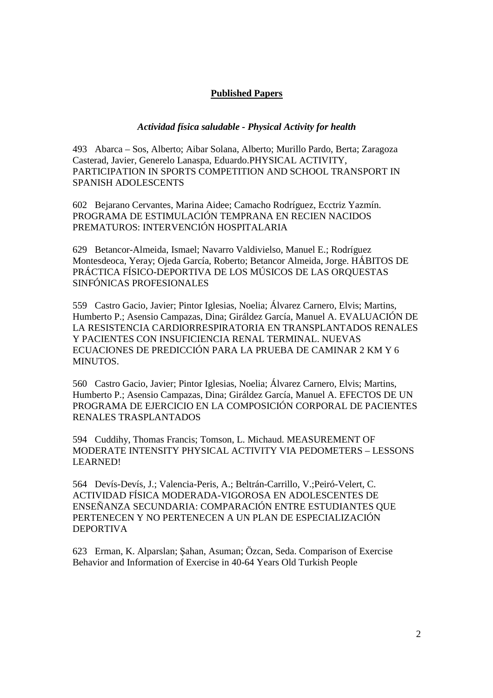# **Published Papers**

## *Actividad física saludable - Physical Activity for health*

493 Abarca – Sos, Alberto; Aibar Solana, Alberto; Murillo Pardo, Berta; Zaragoza Casterad, Javier, Generelo Lanaspa, Eduardo.PHYSICAL ACTIVITY, PARTICIPATION IN SPORTS COMPETITION AND SCHOOL TRANSPORT IN SPANISH ADOLESCENTS

602 Bejarano Cervantes, Marina Aidee; Camacho Rodríguez, Ecctriz Yazmín. PROGRAMA DE ESTIMULACIÓN TEMPRANA EN RECIEN NACIDOS PREMATUROS: INTERVENCIÓN HOSPITALARIA

629 Betancor-Almeida, Ismael; Navarro Valdivielso, Manuel E.; Rodríguez Montesdeoca, Yeray; Ojeda García, Roberto; Betancor Almeida, Jorge. HÁBITOS DE PRÁCTICA FÍSICO-DEPORTIVA DE LOS MÚSICOS DE LAS ORQUESTAS SINFÓNICAS PROFESIONALES

559 Castro Gacio, Javier; Pintor Iglesias, Noelia; Álvarez Carnero, Elvis; Martins, Humberto P.; Asensio Campazas, Dina; Giráldez García, Manuel A. EVALUACIÓN DE LA RESISTENCIA CARDIORRESPIRATORIA EN TRANSPLANTADOS RENALES Y PACIENTES CON INSUFICIENCIA RENAL TERMINAL. NUEVAS ECUACIONES DE PREDICCIÓN PARA LA PRUEBA DE CAMINAR 2 KM Y 6 MINUTOS.

560 Castro Gacio, Javier; Pintor Iglesias, Noelia; Álvarez Carnero, Elvis; Martins, Humberto P.; Asensio Campazas, Dina; Giráldez García, Manuel A. EFECTOS DE UN PROGRAMA DE EJERCICIO EN LA COMPOSICIÓN CORPORAL DE PACIENTES RENALES TRASPLANTADOS

594 Cuddihy, Thomas Francis; Tomson, L. Michaud. MEASUREMENT OF MODERATE INTENSITY PHYSICAL ACTIVITY VIA PEDOMETERS – LESSONS LEARNED!

564 Devís-Devís, J.; Valencia-Peris, A.; Beltrán-Carrillo, V.;Peiró-Velert, C. ACTIVIDAD FÍSICA MODERADA-VIGOROSA EN ADOLESCENTES DE ENSEÑANZA SECUNDARIA: COMPARACIÓN ENTRE ESTUDIANTES QUE PERTENECEN Y NO PERTENECEN A UN PLAN DE ESPECIALIZACIÓN DEPORTIVA

623 Erman, K. Alparslan; Şahan, Asuman; Özcan, Seda. Comparison of Exercise Behavior and Information of Exercise in 40-64 Years Old Turkish People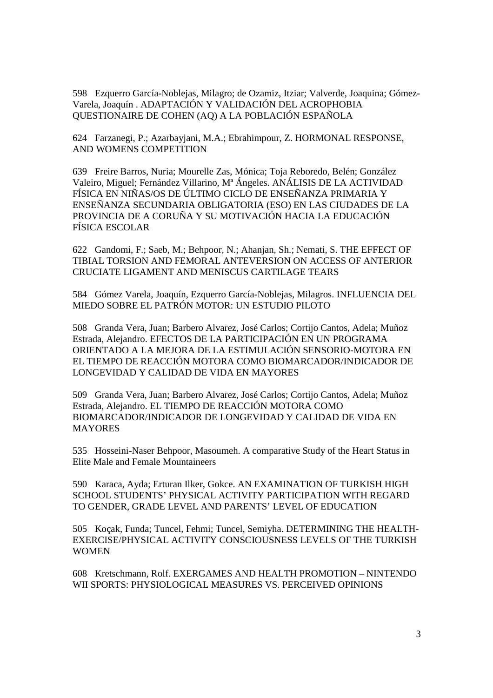598 Ezquerro García-Noblejas, Milagro; de Ozamiz, Itziar; Valverde, Joaquina; Gómez-Varela, Joaquín . ADAPTACIÓN Y VALIDACIÓN DEL ACROPHOBIA QUESTIONAIRE DE COHEN (AQ) A LA POBLACIÓN ESPAÑOLA

624 Farzanegi, P.; Azarbayjani, M.A.; Ebrahimpour, Z. HORMONAL RESPONSE, AND WOMENS COMPETITION

639 Freire Barros, Nuria; Mourelle Zas, Mónica; Toja Reboredo, Belén; González Valeiro, Miguel; Fernández Villarino, Mª Ángeles. ANÁLISIS DE LA ACTIVIDAD FÍSICA EN NIÑAS/OS DE ÚLTIMO CICLO DE ENSEÑANZA PRIMARIA Y ENSEÑANZA SECUNDARIA OBLIGATORIA (ESO) EN LAS CIUDADES DE LA PROVINCIA DE A CORUÑA Y SU MOTIVACIÓN HACIA LA EDUCACIÓN FÍSICA ESCOLAR

622 Gandomi, F.; Saeb, M.; Behpoor, N.; Ahanjan, Sh.; Nemati, S. THE EFFECT OF TIBIAL TORSION AND FEMORAL ANTEVERSION ON ACCESS OF ANTERIOR CRUCIATE LIGAMENT AND MENISCUS CARTILAGE TEARS

584 Gómez Varela, Joaquín, Ezquerro García-Noblejas, Milagros. INFLUENCIA DEL MIEDO SOBRE EL PATRÓN MOTOR: UN ESTUDIO PILOTO

508 Granda Vera, Juan; Barbero Alvarez, José Carlos; Cortijo Cantos, Adela; Muñoz Estrada, Alejandro. EFECTOS DE LA PARTICIPACIÓN EN UN PROGRAMA ORIENTADO A LA MEJORA DE LA ESTIMULACIÓN SENSORIO-MOTORA EN EL TIEMPO DE REACCIÓN MOTORA COMO BIOMARCADOR/INDICADOR DE LONGEVIDAD Y CALIDAD DE VIDA EN MAYORES

509 Granda Vera, Juan; Barbero Alvarez, José Carlos; Cortijo Cantos, Adela; Muñoz Estrada, Alejandro. EL TIEMPO DE REACCIÓN MOTORA COMO BIOMARCADOR/INDICADOR DE LONGEVIDAD Y CALIDAD DE VIDA EN MAYORES

535 Hosseini-Naser Behpoor, Masoumeh. A comparative Study of the Heart Status in Elite Male and Female Mountaineers

590 Karaca, Ayda; Erturan Ilker, Gokce. AN EXAMINATION OF TURKISH HIGH SCHOOL STUDENTS' PHYSICAL ACTIVITY PARTICIPATION WITH REGARD TO GENDER, GRADE LEVEL AND PARENTS' LEVEL OF EDUCATION

505 Koçak, Funda; Tuncel, Fehmi; Tuncel, Semiyha. DETERMINING THE HEALTH-EXERCISE/PHYSICAL ACTIVITY CONSCIOUSNESS LEVELS OF THE TURKISH **WOMEN** 

608 Kretschmann, Rolf. EXERGAMES AND HEALTH PROMOTION – NINTENDO WII SPORTS: PHYSIOLOGICAL MEASURES VS. PERCEIVED OPINIONS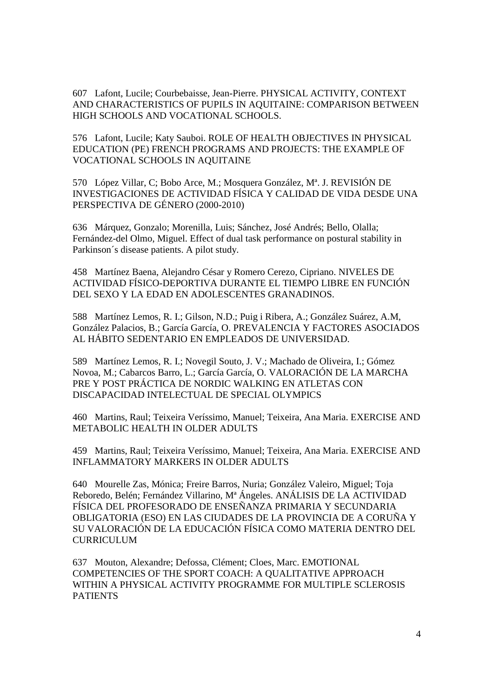607 Lafont, Lucile; Courbebaisse, Jean-Pierre. PHYSICAL ACTIVITY, CONTEXT AND CHARACTERISTICS OF PUPILS IN AQUITAINE: COMPARISON BETWEEN HIGH SCHOOLS AND VOCATIONAL SCHOOLS.

576 Lafont, Lucile; Katy Sauboi. ROLE OF HEALTH OBJECTIVES IN PHYSICAL EDUCATION (PE) FRENCH PROGRAMS AND PROJECTS: THE EXAMPLE OF VOCATIONAL SCHOOLS IN AQUITAINE

570 López Villar, C; Bobo Arce, M.; Mosquera González, Mª. J. REVISIÓN DE INVESTIGACIONES DE ACTIVIDAD FÍSICA Y CALIDAD DE VIDA DESDE UNA PERSPECTIVA DE GÉNERO (2000-2010)

636 Márquez, Gonzalo; Morenilla, Luis; Sánchez, José Andrés; Bello, Olalla; Fernández-del Olmo, Miguel. Effect of dual task performance on postural stability in Parkinson´s disease patients. A pilot study.

458 Martínez Baena, Alejandro César y Romero Cerezo, Cipriano. NIVELES DE ACTIVIDAD FÍSICO-DEPORTIVA DURANTE EL TIEMPO LIBRE EN FUNCIÓN DEL SEXO Y LA EDAD EN ADOLESCENTES GRANADINOS.

588 Martínez Lemos, R. I.; Gilson, N.D.; Puig i Ribera, A.; González Suárez, A.M, González Palacios, B.; García García, O. PREVALENCIA Y FACTORES ASOCIADOS AL HÁBITO SEDENTARIO EN EMPLEADOS DE UNIVERSIDAD.

589 Martínez Lemos, R. I.; Novegil Souto, J. V.; Machado de Oliveira, I.; Gómez Novoa, M.; Cabarcos Barro, L.; García García, O. VALORACIÓN DE LA MARCHA PRE Y POST PRÁCTICA DE NORDIC WALKING EN ATLETAS CON DISCAPACIDAD INTELECTUAL DE SPECIAL OLYMPICS

460 Martins, Raul; Teixeira Veríssimo, Manuel; Teixeira, Ana Maria. EXERCISE AND METABOLIC HEALTH IN OLDER ADULTS

459 Martins, Raul; Teixeira Veríssimo, Manuel; Teixeira, Ana Maria. EXERCISE AND INFLAMMATORY MARKERS IN OLDER ADULTS

640 Mourelle Zas, Mónica; Freire Barros, Nuria; González Valeiro, Miguel; Toja Reboredo, Belén; Fernández Villarino, Mª Ángeles. ANÁLISIS DE LA ACTIVIDAD FÍSICA DEL PROFESORADO DE ENSEÑANZA PRIMARIA Y SECUNDARIA OBLIGATORIA (ESO) EN LAS CIUDADES DE LA PROVINCIA DE A CORUÑA Y SU VALORACIÓN DE LA EDUCACIÓN FÍSICA COMO MATERIA DENTRO DEL CURRICULUM

637 Mouton, Alexandre; Defossa, Clément; Cloes, Marc. EMOTIONAL COMPETENCIES OF THE SPORT COACH: A QUALITATIVE APPROACH WITHIN A PHYSICAL ACTIVITY PROGRAMME FOR MULTIPLE SCLEROSIS **PATIENTS**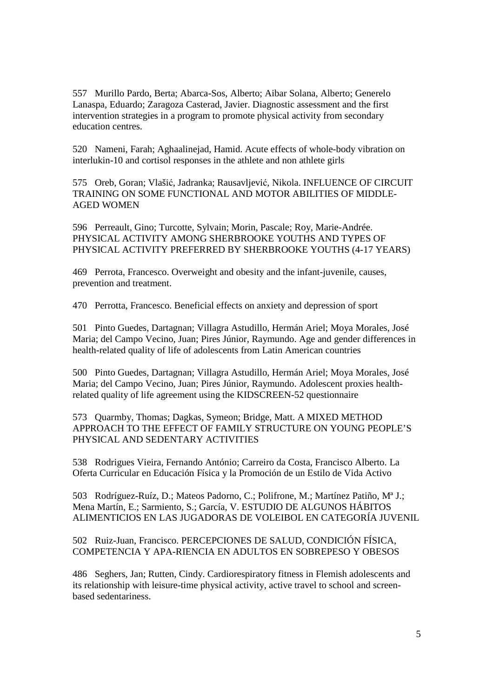557 Murillo Pardo, Berta; Abarca-Sos, Alberto; Aibar Solana, Alberto; Generelo Lanaspa, Eduardo; Zaragoza Casterad, Javier. Diagnostic assessment and the first intervention strategies in a program to promote physical activity from secondary education centres.

520 Nameni, Farah; Aghaalinejad, Hamid. Acute effects of whole-body vibration on interlukin-10 and cortisol responses in the athlete and non athlete girls

575 Oreb, Goran; Vlašić, Jadranka; Rausavljević, Nikola. INFLUENCE OF CIRCUIT TRAINING ON SOME FUNCTIONAL AND MOTOR ABILITIES OF MIDDLE-AGED WOMEN

596 Perreault, Gino; Turcotte, Sylvain; Morin, Pascale; Roy, Marie-Andrée. PHYSICAL ACTIVITY AMONG SHERBROOKE YOUTHS AND TYPES OF PHYSICAL ACTIVITY PREFERRED BY SHERBROOKE YOUTHS (4-17 YEARS)

469 Perrota, Francesco. Overweight and obesity and the infant-juvenile, causes, prevention and treatment.

470 Perrotta, Francesco. Beneficial effects on anxiety and depression of sport

501 Pinto Guedes, Dartagnan; Villagra Astudillo, Hermán Ariel; Moya Morales, José Maria; del Campo Vecino, Juan; Pires Júnior, Raymundo. Age and gender differences in health-related quality of life of adolescents from Latin American countries

500 Pinto Guedes, Dartagnan; Villagra Astudillo, Hermán Ariel; Moya Morales, José Maria; del Campo Vecino, Juan; Pires Júnior, Raymundo. Adolescent proxies healthrelated quality of life agreement using the KIDSCREEN-52 questionnaire

573 Quarmby, Thomas; Dagkas, Symeon; Bridge, Matt. A MIXED METHOD APPROACH TO THE EFFECT OF FAMILY STRUCTURE ON YOUNG PEOPLE'S PHYSICAL AND SEDENTARY ACTIVITIES

538 Rodrigues Vieira, Fernando António; Carreiro da Costa, Francisco Alberto. La Oferta Curricular en Educación Física y la Promoción de un Estilo de Vida Activo

503 Rodríguez-Ruíz, D.; Mateos Padorno, C.; Polifrone, M.; Martínez Patiño, Mª J.; Mena Martín, E.; Sarmiento, S.; García, V. ESTUDIO DE ALGUNOS HÁBITOS ALIMENTICIOS EN LAS JUGADORAS DE VOLEIBOL EN CATEGORÍA JUVENIL

502 Ruiz-Juan, Francisco. PERCEPCIONES DE SALUD, CONDICIÓN FÍSICA, COMPETENCIA Y APA-RIENCIA EN ADULTOS EN SOBREPESO Y OBESOS

486 Seghers, Jan; Rutten, Cindy. Cardiorespiratory fitness in Flemish adolescents and its relationship with leisure-time physical activity, active travel to school and screenbased sedentariness.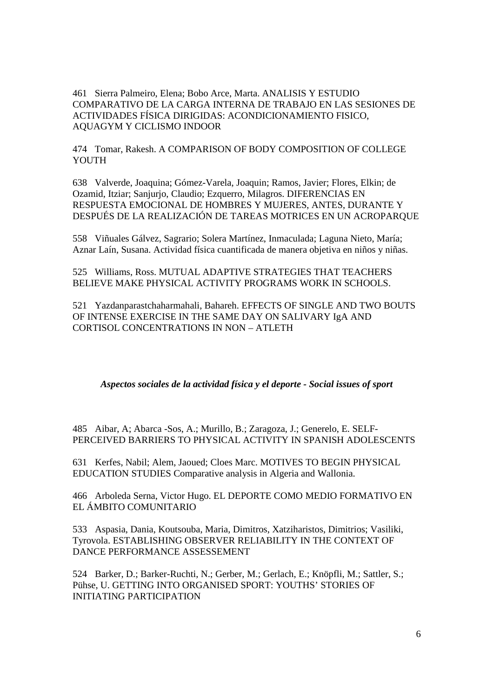461 Sierra Palmeiro, Elena; Bobo Arce, Marta. ANALISIS Y ESTUDIO COMPARATIVO DE LA CARGA INTERNA DE TRABAJO EN LAS SESIONES DE ACTIVIDADES FÍSICA DIRIGIDAS: ACONDICIONAMIENTO FISICO, AQUAGYM Y CICLISMO INDOOR

474 Tomar, Rakesh. A COMPARISON OF BODY COMPOSITION OF COLLEGE **YOUTH** 

638 Valverde, Joaquina; Gómez-Varela, Joaquin; Ramos, Javier; Flores, Elkin; de Ozamid, Itziar; Sanjurjo, Claudio; Ezquerro, Milagros. DIFERENCIAS EN RESPUESTA EMOCIONAL DE HOMBRES Y MUJERES, ANTES, DURANTE Y DESPUÉS DE LA REALIZACIÓN DE TAREAS MOTRICES EN UN ACROPARQUE

558 Viñuales Gálvez, Sagrario; Solera Martínez, Inmaculada; Laguna Nieto, María; Aznar Laín, Susana. Actividad física cuantificada de manera objetiva en niños y niñas.

525 Williams, Ross. MUTUAL ADAPTIVE STRATEGIES THAT TEACHERS BELIEVE MAKE PHYSICAL ACTIVITY PROGRAMS WORK IN SCHOOLS.

521 Yazdanparastchaharmahali, Bahareh. EFFECTS OF SINGLE AND TWO BOUTS OF INTENSE EXERCISE IN THE SAME DAY ON SALIVARY IgA AND CORTISOL CONCENTRATIONS IN NON – ATLETH

*Aspectos sociales de la actividad física y el deporte - Social issues of sport* 

485 Aibar, A; Abarca -Sos, A.; Murillo, B.; Zaragoza, J.; Generelo, E. SELF-PERCEIVED BARRIERS TO PHYSICAL ACTIVITY IN SPANISH ADOLESCENTS

631 Kerfes, Nabil; Alem, Jaoued; Cloes Marc. MOTIVES TO BEGIN PHYSICAL EDUCATION STUDIES Comparative analysis in Algeria and Wallonia.

466 Arboleda Serna, Victor Hugo. EL DEPORTE COMO MEDIO FORMATIVO EN EL ÁMBITO COMUNITARIO

533 Aspasia, Dania, Koutsouba, Maria, Dimitros, Xatziharistos, Dimitrios; Vasiliki, Tyrovola. ESTABLISHING OBSERVER RELIABILITY IN THE CONTEXT OF DANCE PERFORMANCE ASSESSEMENT

524 Barker, D.; Barker-Ruchti, N.; Gerber, M.; Gerlach, E.; Knöpfli, M.; Sattler, S.; Pühse, U. GETTING INTO ORGANISED SPORT: YOUTHS' STORIES OF INITIATING PARTICIPATION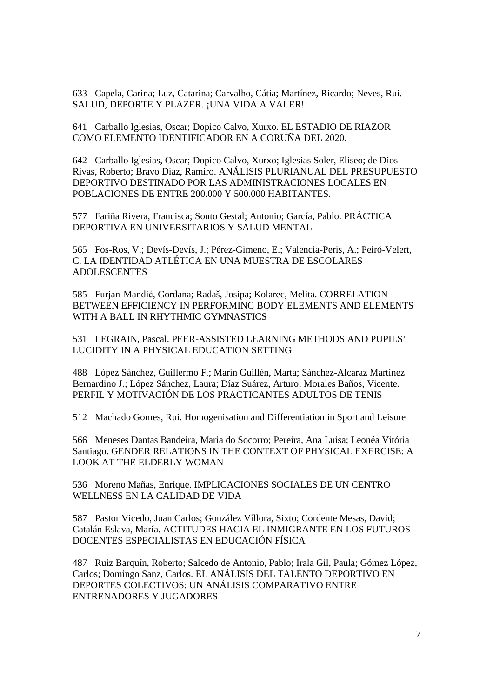633 Capela, Carina; Luz, Catarina; Carvalho, Cátia; Martínez, Ricardo; Neves, Rui. SALUD, DEPORTE Y PLAZER. ¡UNA VIDA A VALER!

641 Carballo Iglesias, Oscar; Dopico Calvo, Xurxo. EL ESTADIO DE RIAZOR COMO ELEMENTO IDENTIFICADOR EN A CORUÑA DEL 2020.

642 Carballo Iglesias, Oscar; Dopico Calvo, Xurxo; Iglesias Soler, Eliseo; de Dios Rivas, Roberto; Bravo Díaz, Ramiro. ANÁLISIS PLURIANUAL DEL PRESUPUESTO DEPORTIVO DESTINADO POR LAS ADMINISTRACIONES LOCALES EN POBLACIONES DE ENTRE 200.000 Y 500.000 HABITANTES.

577 Fariña Rivera, Francisca; Souto Gestal; Antonio; García, Pablo. PRÁCTICA DEPORTIVA EN UNIVERSITARIOS Y SALUD MENTAL

565 Fos-Ros, V.; Devís-Devís, J.; Pérez-Gimeno, E.; Valencia-Peris, A.; Peiró-Velert, C. LA IDENTIDAD ATLÉTICA EN UNA MUESTRA DE ESCOLARES ADOLESCENTES

585 Furjan-Mandić, Gordana; Radaš, Josipa; Kolarec, Melita. CORRELATION BETWEEN EFFICIENCY IN PERFORMING BODY ELEMENTS AND ELEMENTS WITH A BALL IN RHYTHMIC GYMNASTICS

531 LEGRAIN, Pascal. PEER-ASSISTED LEARNING METHODS AND PUPILS' LUCIDITY IN A PHYSICAL EDUCATION SETTING

488 López Sánchez, Guillermo F.; Marín Guillén, Marta; Sánchez-Alcaraz Martínez Bernardino J.; López Sánchez, Laura; Díaz Suárez, Arturo; Morales Baños, Vicente. PERFIL Y MOTIVACIÓN DE LOS PRACTICANTES ADULTOS DE TENIS

512 Machado Gomes, Rui. Homogenisation and Differentiation in Sport and Leisure

566 Meneses Dantas Bandeira, Maria do Socorro; Pereira, Ana Luisa; Leonéa Vitória Santiago. GENDER RELATIONS IN THE CONTEXT OF PHYSICAL EXERCISE: A LOOK AT THE ELDERLY WOMAN

536 Moreno Mañas, Enrique. IMPLICACIONES SOCIALES DE UN CENTRO WELLNESS EN LA CALIDAD DE VIDA

587 Pastor Vicedo, Juan Carlos; González Víllora, Sixto; Cordente Mesas, David; Catalán Eslava, María. ACTITUDES HACIA EL INMIGRANTE EN LOS FUTUROS DOCENTES ESPECIALISTAS EN EDUCACIÓN FÍSICA

487 Ruiz Barquín, Roberto; Salcedo de Antonio, Pablo; Irala Gil, Paula; Gómez López, Carlos; Domingo Sanz, Carlos. EL ANÁLISIS DEL TALENTO DEPORTIVO EN DEPORTES COLECTIVOS: UN ANÁLISIS COMPARATIVO ENTRE ENTRENADORES Y JUGADORES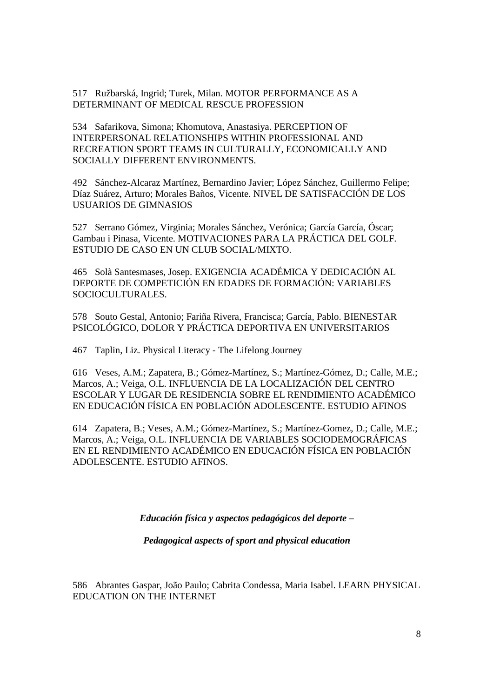517 Ružbarská, Ingrid; Turek, Milan. MOTOR PERFORMANCE AS A DETERMINANT OF MEDICAL RESCUE PROFESSION

534 Safarikova, Simona; Khomutova, Anastasiya. PERCEPTION OF INTERPERSONAL RELATIONSHIPS WITHIN PROFESSIONAL AND RECREATION SPORT TEAMS IN CULTURALLY, ECONOMICALLY AND SOCIALLY DIFFERENT ENVIRONMENTS.

492 Sánchez-Alcaraz Martínez, Bernardino Javier; López Sánchez, Guillermo Felipe; Díaz Suárez, Arturo; Morales Baños, Vicente. NIVEL DE SATISFACCIÓN DE LOS USUARIOS DE GIMNASIOS

527 Serrano Gómez, Virginia; Morales Sánchez, Verónica; García García, Óscar; Gambau i Pinasa, Vicente. MOTIVACIONES PARA LA PRÁCTICA DEL GOLF. ESTUDIO DE CASO EN UN CLUB SOCIAL/MIXTO.

465 Solà Santesmases, Josep. EXIGENCIA ACADÉMICA Y DEDICACIÓN AL DEPORTE DE COMPETICIÓN EN EDADES DE FORMACIÓN: VARIABLES SOCIOCULTURALES.

578 Souto Gestal, Antonio; Fariña Rivera, Francisca; García, Pablo. BIENESTAR PSICOLÓGICO, DOLOR Y PRÁCTICA DEPORTIVA EN UNIVERSITARIOS

467 Taplin, Liz. Physical Literacy - The Lifelong Journey

616 Veses, A.M.; Zapatera, B.; Gómez-Martínez, S.; Martínez-Gómez, D.; Calle, M.E.; Marcos, A.; Veiga, O.L. INFLUENCIA DE LA LOCALIZACIÓN DEL CENTRO ESCOLAR Y LUGAR DE RESIDENCIA SOBRE EL RENDIMIENTO ACADÉMICO EN EDUCACIÓN FÍSICA EN POBLACIÓN ADOLESCENTE. ESTUDIO AFINOS

614 Zapatera, B.; Veses, A.M.; Gómez-Martínez, S.; Martínez-Gomez, D.; Calle, M.E.; Marcos, A.; Veiga, O.L. INFLUENCIA DE VARIABLES SOCIODEMOGRÁFICAS EN EL RENDIMIENTO ACADÉMICO EN EDUCACIÓN FÍSICA EN POBLACIÓN ADOLESCENTE. ESTUDIO AFINOS.

*Educación física y aspectos pedagógicos del deporte –* 

*Pedagogical aspects of sport and physical education*

586 Abrantes Gaspar, João Paulo; Cabrita Condessa, Maria Isabel. LEARN PHYSICAL EDUCATION ON THE INTERNET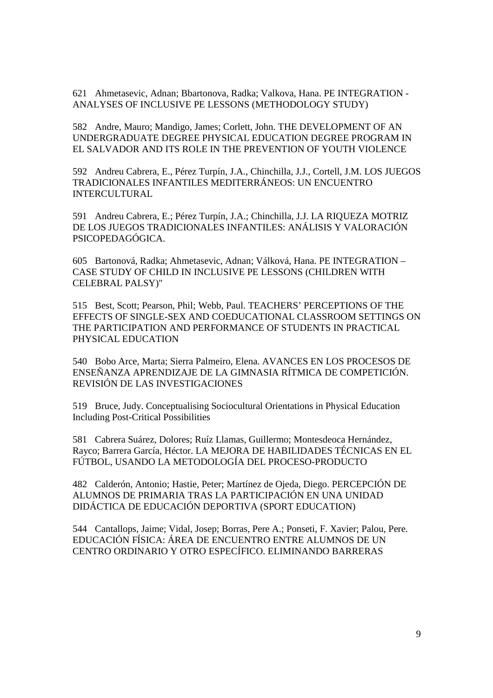621 Ahmetasevic, Adnan; Bbartonova, Radka; Valkova, Hana. PE INTEGRATION - ANALYSES OF INCLUSIVE PE LESSONS (METHODOLOGY STUDY)

582 Andre, Mauro; Mandigo, James; Corlett, John. THE DEVELOPMENT OF AN UNDERGRADUATE DEGREE PHYSICAL EDUCATION DEGREE PROGRAM IN EL SALVADOR AND ITS ROLE IN THE PREVENTION OF YOUTH VIOLENCE

592 Andreu Cabrera, E., Pérez Turpín, J.A., Chinchilla, J.J., Cortell, J.M. LOS JUEGOS TRADICIONALES INFANTILES MEDITERRÁNEOS: UN ENCUENTRO INTERCULTURAL

591 Andreu Cabrera, E.; Pérez Turpín, J.A.; Chinchilla, J.J. LA RIQUEZA MOTRIZ DE LOS JUEGOS TRADICIONALES INFANTILES: ANÁLISIS Y VALORACIÓN PSICOPEDAGÓGICA.

605 Bartonová, Radka; Ahmetasevic, Adnan; Válková, Hana. PE INTEGRATION – CASE STUDY OF CHILD IN INCLUSIVE PE LESSONS (CHILDREN WITH CELEBRAL PALSY)"

515 Best, Scott; Pearson, Phil; Webb, Paul. TEACHERS' PERCEPTIONS OF THE EFFECTS OF SINGLE-SEX AND COEDUCATIONAL CLASSROOM SETTINGS ON THE PARTICIPATION AND PERFORMANCE OF STUDENTS IN PRACTICAL PHYSICAL EDUCATION

540 Bobo Arce, Marta; Sierra Palmeiro, Elena. AVANCES EN LOS PROCESOS DE ENSEÑANZA APRENDIZAJE DE LA GIMNASIA RÍTMICA DE COMPETICIÓN. REVISIÓN DE LAS INVESTIGACIONES

519 Bruce, Judy. Conceptualising Sociocultural Orientations in Physical Education Including Post-Critical Possibilities

581 Cabrera Suárez, Dolores; Ruíz Llamas, Guillermo; Montesdeoca Hernández, Rayco; Barrera García, Héctor. LA MEJORA DE HABILIDADES TÉCNICAS EN EL FÚTBOL, USANDO LA METODOLOGÍA DEL PROCESO-PRODUCTO

482 Calderón, Antonio; Hastie, Peter; Martínez de Ojeda, Diego. PERCEPCIÓN DE ALUMNOS DE PRIMARIA TRAS LA PARTICIPACIÓN EN UNA UNIDAD DIDÁCTICA DE EDUCACIÓN DEPORTIVA (SPORT EDUCATION)

544 Cantallops, Jaime; Vidal, Josep; Borras, Pere A.; Ponseti, F. Xavier; Palou, Pere. EDUCACIÓN FÍSICA: ÁREA DE ENCUENTRO ENTRE ALUMNOS DE UN CENTRO ORDINARIO Y OTRO ESPECÍFICO. ELIMINANDO BARRERAS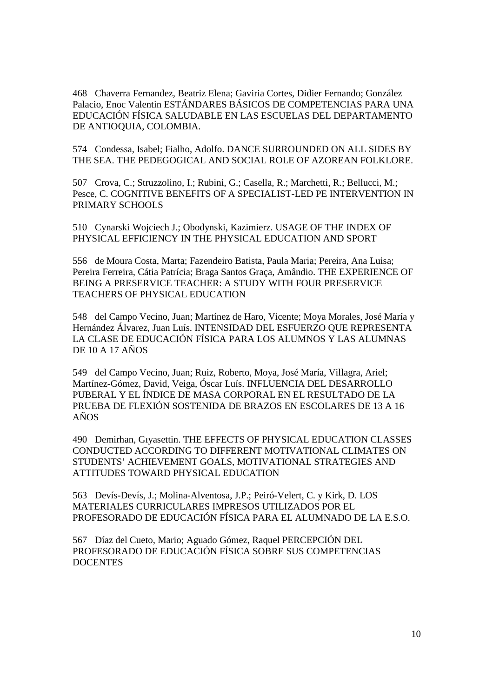468 Chaverra Fernandez, Beatriz Elena; Gaviria Cortes, Didier Fernando; González Palacio, Enoc Valentin ESTÁNDARES BÁSICOS DE COMPETENCIAS PARA UNA EDUCACIÓN FÍSICA SALUDABLE EN LAS ESCUELAS DEL DEPARTAMENTO DE ANTIOQUIA, COLOMBIA.

574 Condessa, Isabel; Fialho, Adolfo. DANCE SURROUNDED ON ALL SIDES BY THE SEA. THE PEDEGOGICAL AND SOCIAL ROLE OF AZOREAN FOLKLORE.

507 Crova, C.; Struzzolino, I.; Rubini, G.; Casella, R.; Marchetti, R.; Bellucci, M.; Pesce, C. COGNITIVE BENEFITS OF A SPECIALIST-LED PE INTERVENTION IN PRIMARY SCHOOLS

510 Cynarski Wojciech J.; Obodynski, Kazimierz. USAGE OF THE INDEX OF PHYSICAL EFFICIENCY IN THE PHYSICAL EDUCATION AND SPORT

556 de Moura Costa, Marta; Fazendeiro Batista, Paula Maria; Pereira, Ana Luisa; Pereira Ferreira, Cátia Patrícia; Braga Santos Graça, Amândio. THE EXPERIENCE OF BEING A PRESERVICE TEACHER: A STUDY WITH FOUR PRESERVICE TEACHERS OF PHYSICAL EDUCATION

548 del Campo Vecino, Juan; Martínez de Haro, Vicente; Moya Morales, José María y Hernández Álvarez, Juan Luís. INTENSIDAD DEL ESFUERZO QUE REPRESENTA LA CLASE DE EDUCACIÓN FÍSICA PARA LOS ALUMNOS Y LAS ALUMNAS DE 10 A 17 AÑOS

549 del Campo Vecino, Juan; Ruiz, Roberto, Moya, José María, Villagra, Ariel; Martínez-Gómez, David, Veiga, Óscar Luís. INFLUENCIA DEL DESARROLLO PUBERAL Y EL ÍNDICE DE MASA CORPORAL EN EL RESULTADO DE LA PRUEBA DE FLEXIÓN SOSTENIDA DE BRAZOS EN ESCOLARES DE 13 A 16 AÑOS

490 Demirhan, Gıyasettin. THE EFFECTS OF PHYSICAL EDUCATION CLASSES CONDUCTED ACCORDING TO DIFFERENT MOTIVATIONAL CLIMATES ON STUDENTS' ACHIEVEMENT GOALS, MOTIVATIONAL STRATEGIES AND ATTITUDES TOWARD PHYSICAL EDUCATION

563 Devís-Devís, J.; Molina-Alventosa, J.P.; Peiró-Velert, C. y Kirk, D. LOS MATERIALES CURRICULARES IMPRESOS UTILIZADOS POR EL PROFESORADO DE EDUCACIÓN FÍSICA PARA EL ALUMNADO DE LA E.S.O.

567 Díaz del Cueto, Mario; Aguado Gómez, Raquel PERCEPCIÓN DEL PROFESORADO DE EDUCACIÓN FÍSICA SOBRE SUS COMPETENCIAS **DOCENTES**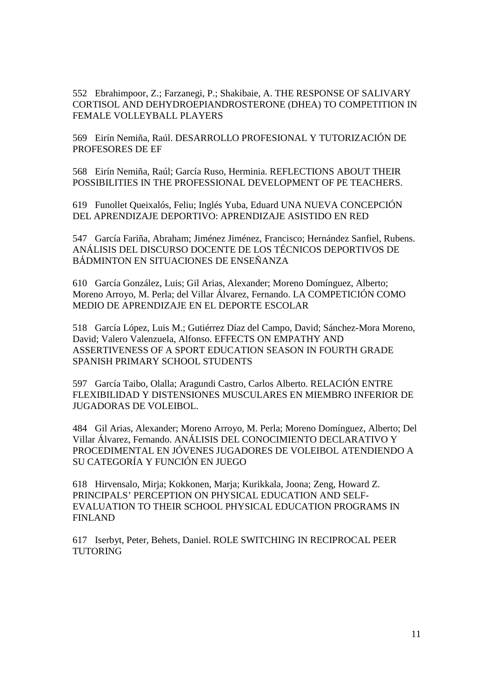552 Ebrahimpoor, Z.; Farzanegi, P.; Shakibaie, A. THE RESPONSE OF SALIVARY CORTISOL AND DEHYDROEPIANDROSTERONE (DHEA) TO COMPETITION IN FEMALE VOLLEYBALL PLAYERS

569 Eirín Nemiña, Raúl. DESARROLLO PROFESIONAL Y TUTORIZACIÓN DE PROFESORES DE EF

568 Eirín Nemiña, Raúl; García Ruso, Herminia. REFLECTIONS ABOUT THEIR POSSIBILITIES IN THE PROFESSIONAL DEVELOPMENT OF PE TEACHERS.

619 Funollet Queixalós, Feliu; Inglés Yuba, Eduard UNA NUEVA CONCEPCIÓN DEL APRENDIZAJE DEPORTIVO: APRENDIZAJE ASISTIDO EN RED

547 García Fariña, Abraham; Jiménez Jiménez, Francisco; Hernández Sanfiel, Rubens. ANÁLISIS DEL DISCURSO DOCENTE DE LOS TÉCNICOS DEPORTIVOS DE BÁDMINTON EN SITUACIONES DE ENSEÑANZA

610 García González, Luis; Gil Arias, Alexander; Moreno Domínguez, Alberto; Moreno Arroyo, M. Perla; del Villar Álvarez, Fernando. LA COMPETICIÓN COMO MEDIO DE APRENDIZAJE EN EL DEPORTE ESCOLAR

518 García López, Luis M.; Gutiérrez Díaz del Campo, David; Sánchez-Mora Moreno, David; Valero Valenzuela, Alfonso. EFFECTS ON EMPATHY AND ASSERTIVENESS OF A SPORT EDUCATION SEASON IN FOURTH GRADE SPANISH PRIMARY SCHOOL STUDENTS

597 García Taibo, Olalla; Aragundi Castro, Carlos Alberto. RELACIÓN ENTRE FLEXIBILIDAD Y DISTENSIONES MUSCULARES EN MIEMBRO INFERIOR DE JUGADORAS DE VOLEIBOL.

484 Gil Arias, Alexander; Moreno Arroyo, M. Perla; Moreno Domínguez, Alberto; Del Villar Álvarez, Fernando. ANÁLISIS DEL CONOCIMIENTO DECLARATIVO Y PROCEDIMENTAL EN JÓVENES JUGADORES DE VOLEIBOL ATENDIENDO A SU CATEGORÍA Y FUNCIÓN EN JUEGO

618 Hirvensalo, Mirja; Kokkonen, Marja; Kurikkala, Joona; Zeng, Howard Z. PRINCIPALS' PERCEPTION ON PHYSICAL EDUCATION AND SELF-EVALUATION TO THEIR SCHOOL PHYSICAL EDUCATION PROGRAMS IN FINLAND

617 Iserbyt, Peter, Behets, Daniel. ROLE SWITCHING IN RECIPROCAL PEER **TUTORING**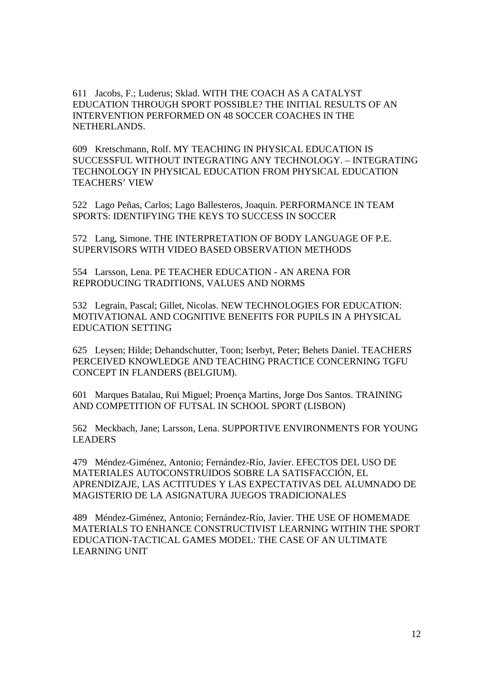611 Jacobs, F.; Luderus; Sklad. WITH THE COACH AS A CATALYST EDUCATION THROUGH SPORT POSSIBLE? THE INITIAL RESULTS OF AN INTERVENTION PERFORMED ON 48 SOCCER COACHES IN THE NETHERLANDS.

609 Kretschmann, Rolf. MY TEACHING IN PHYSICAL EDUCATION IS SUCCESSFUL WITHOUT INTEGRATING ANY TECHNOLOGY. – INTEGRATING TECHNOLOGY IN PHYSICAL EDUCATION FROM PHYSICAL EDUCATION TEACHERS' VIEW

522 Lago Peñas, Carlos; Lago Ballesteros, Joaquin. PERFORMANCE IN TEAM SPORTS: IDENTIFYING THE KEYS TO SUCCESS IN SOCCER

572 Lang, Simone. THE INTERPRETATION OF BODY LANGUAGE OF P.E. SUPERVISORS WITH VIDEO BASED OBSERVATION METHODS

554 Larsson, Lena. PE TEACHER EDUCATION - AN ARENA FOR REPRODUCING TRADITIONS, VALUES AND NORMS

532 Legrain, Pascal; Gillet, Nicolas. NEW TECHNOLOGIES FOR EDUCATION: MOTIVATIONAL AND COGNITIVE BENEFITS FOR PUPILS IN A PHYSICAL EDUCATION SETTING

625 Leysen; Hilde; Dehandschutter, Toon; Iserbyt, Peter; Behets Daniel. TEACHERS PERCEIVED KNOWLEDGE AND TEACHING PRACTICE CONCERNING TGFU CONCEPT IN FLANDERS (BELGIUM).

601 Marques Batalau, Rui Miguel; Proença Martins, Jorge Dos Santos. TRAINING AND COMPETITION OF FUTSAL IN SCHOOL SPORT (LISBON)

562 Meckbach, Jane; Larsson, Lena. SUPPORTIVE ENVIRONMENTS FOR YOUNG LEADERS

479 Méndez-Giménez, Antonio; Fernández-Río, Javier. EFECTOS DEL USO DE MATERIALES AUTOCONSTRUIDOS SOBRE LA SATISFACCIÓN, EL APRENDIZAJE, LAS ACTITUDES Y LAS EXPECTATIVAS DEL ALUMNADO DE MAGISTERIO DE LA ASIGNATURA JUEGOS TRADICIONALES

489 Méndez-Giménez, Antonio; Fernández-Río, Javier. THE USE OF HOMEMADE MATERIALS TO ENHANCE CONSTRUCTIVIST LEARNING WITHIN THE SPORT EDUCATION-TACTICAL GAMES MODEL: THE CASE OF AN ULTIMATE LEARNING UNIT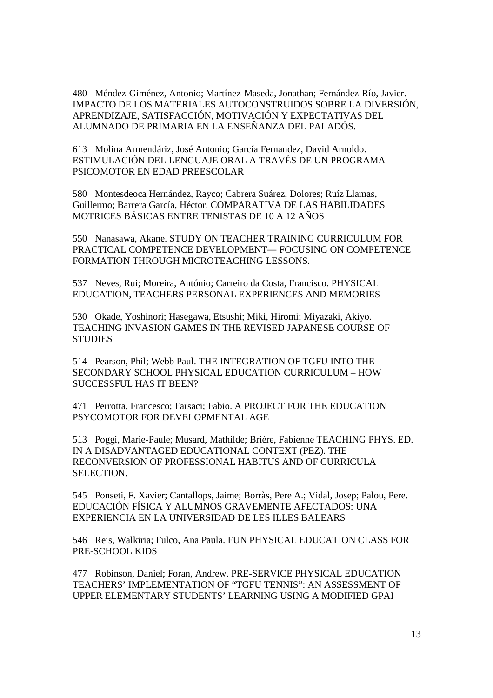480 Méndez-Giménez, Antonio; Martínez-Maseda, Jonathan; Fernández-Río, Javier. IMPACTO DE LOS MATERIALES AUTOCONSTRUIDOS SOBRE LA DIVERSIÓN, APRENDIZAJE, SATISFACCIÓN, MOTIVACIÓN Y EXPECTATIVAS DEL ALUMNADO DE PRIMARIA EN LA ENSEÑANZA DEL PALADÓS.

613 Molina Armendáriz, José Antonio; García Fernandez, David Arnoldo. ESTIMULACIÓN DEL LENGUAJE ORAL A TRAVÉS DE UN PROGRAMA PSICOMOTOR EN EDAD PREESCOLAR

580 Montesdeoca Hernández, Rayco; Cabrera Suárez, Dolores; Ruíz Llamas, Guillermo; Barrera García, Héctor. COMPARATIVA DE LAS HABILIDADES MOTRICES BÁSICAS ENTRE TENISTAS DE 10 A 12 AÑOS

550 Nanasawa, Akane. STUDY ON TEACHER TRAINING CURRICULUM FOR PRACTICAL COMPETENCE DEVELOPMENT― FOCUSING ON COMPETENCE FORMATION THROUGH MICROTEACHING LESSONS.

537 Neves, Rui; Moreira, António; Carreiro da Costa, Francisco. PHYSICAL EDUCATION, TEACHERS PERSONAL EXPERIENCES AND MEMORIES

530 Okade, Yoshinori; Hasegawa, Etsushi; Miki, Hiromi; Miyazaki, Akiyo. TEACHING INVASION GAMES IN THE REVISED JAPANESE COURSE OF **STUDIES** 

514 Pearson, Phil; Webb Paul. THE INTEGRATION OF TGFU INTO THE SECONDARY SCHOOL PHYSICAL EDUCATION CURRICULUM – HOW SUCCESSFUL HAS IT BEEN?

471 Perrotta, Francesco; Farsaci; Fabio. A PROJECT FOR THE EDUCATION PSYCOMOTOR FOR DEVELOPMENTAL AGE

513 Poggi, Marie-Paule; Musard, Mathilde; Brière, Fabienne TEACHING PHYS. ED. IN A DISADVANTAGED EDUCATIONAL CONTEXT (PEZ). THE RECONVERSION OF PROFESSIONAL HABITUS AND OF CURRICULA SELECTION.

545 Ponseti, F. Xavier; Cantallops, Jaime; Borràs, Pere A.; Vidal, Josep; Palou, Pere. EDUCACIÓN FÍSICA Y ALUMNOS GRAVEMENTE AFECTADOS: UNA EXPERIENCIA EN LA UNIVERSIDAD DE LES ILLES BALEARS

546 Reis, Walkiria; Fulco, Ana Paula. FUN PHYSICAL EDUCATION CLASS FOR PRE-SCHOOL KIDS

477 Robinson, Daniel; Foran, Andrew. PRE-SERVICE PHYSICAL EDUCATION TEACHERS' IMPLEMENTATION OF "TGFU TENNIS": AN ASSESSMENT OF UPPER ELEMENTARY STUDENTS' LEARNING USING A MODIFIED GPAI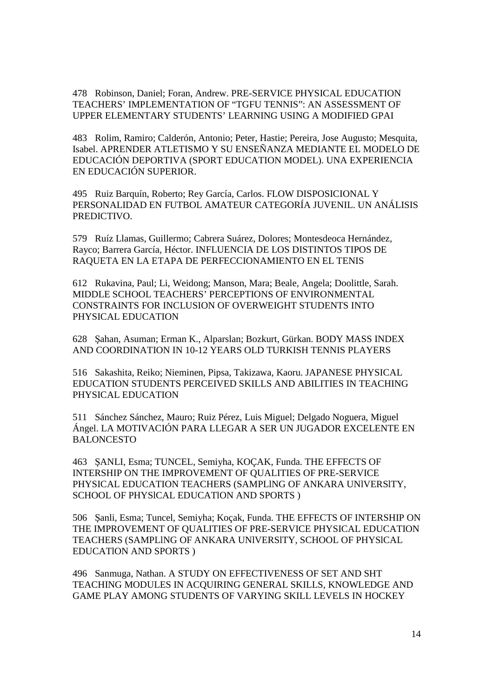478 Robinson, Daniel; Foran, Andrew. PRE-SERVICE PHYSICAL EDUCATION TEACHERS' IMPLEMENTATION OF "TGFU TENNIS": AN ASSESSMENT OF UPPER ELEMENTARY STUDENTS' LEARNING USING A MODIFIED GPAI

483 Rolim, Ramiro; Calderón, Antonio; Peter, Hastie; Pereira, Jose Augusto; Mesquita, Isabel. APRENDER ATLETISMO Y SU ENSEÑANZA MEDIANTE EL MODELO DE EDUCACIÓN DEPORTIVA (SPORT EDUCATION MODEL). UNA EXPERIENCIA EN EDUCACIÓN SUPERIOR.

495 Ruiz Barquín, Roberto; Rey García, Carlos. FLOW DISPOSICIONAL Y PERSONALIDAD EN FUTBOL AMATEUR CATEGORÍA JUVENIL. UN ANÁLISIS PREDICTIVO.

579 Ruíz Llamas, Guillermo; Cabrera Suárez, Dolores; Montesdeoca Hernández, Rayco; Barrera García, Héctor. INFLUENCIA DE LOS DISTINTOS TIPOS DE RAQUETA EN LA ETAPA DE PERFECCIONAMIENTO EN EL TENIS

612 Rukavina, Paul; Li, Weidong; Manson, Mara; Beale, Angela; Doolittle, Sarah. MIDDLE SCHOOL TEACHERS' PERCEPTIONS OF ENVIRONMENTAL CONSTRAINTS FOR INCLUSION OF OVERWEIGHT STUDENTS INTO PHYSICAL EDUCATION

628 Şahan, Asuman; Erman K., Alparslan; Bozkurt, Gürkan. BODY MASS INDEX AND COORDINATION IN 10-12 YEARS OLD TURKISH TENNIS PLAYERS

516 Sakashita, Reiko; Nieminen, Pipsa, Takizawa, Kaoru. JAPANESE PHYSICAL EDUCATION STUDENTS PERCEIVED SKILLS AND ABILITIES IN TEACHING PHYSICAL EDUCATION

511 Sánchez Sánchez, Mauro; Ruiz Pérez, Luis Miguel; Delgado Noguera, Miguel Ángel. LA MOTIVACIÓN PARA LLEGAR A SER UN JUGADOR EXCELENTE EN BALONCESTO

463 ŞANLI, Esma; TUNCEL, Semiyha, KOÇAK, Funda. THE EFFECTS OF INTERSHIP ON THE IMPROVEMENT OF QUALITIES OF PRE-SERVICE PHYSICAL EDUCATION TEACHERS (SAMPLlNG OF ANKARA UNlVERSlTY, SCHOOL OF PHYSlCAL EDUCATlON AND SPORTS )

506 Şanli, Esma; Tuncel, Semiyha; Koçak, Funda. THE EFFECTS OF INTERSHIP ON THE IMPROVEMENT OF QUALITIES OF PRE-SERVICE PHYSICAL EDUCATION TEACHERS (SAMPLING OF ANKARA UNIVERSITY, SCHOOL OF PHYSICAL EDUCATlON AND SPORTS )

496 Sanmuga, Nathan. A STUDY ON EFFECTIVENESS OF SET AND SHT TEACHING MODULES IN ACQUIRING GENERAL SKILLS, KNOWLEDGE AND GAME PLAY AMONG STUDENTS OF VARYING SKILL LEVELS IN HOCKEY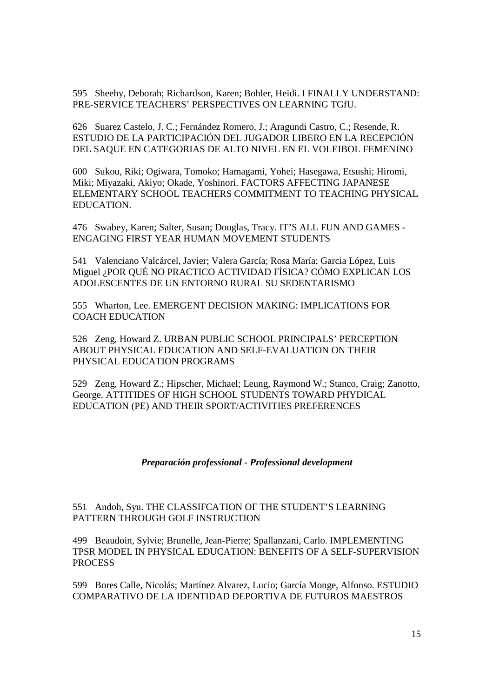595 Sheehy, Deborah; Richardson, Karen; Bohler, Heidi. I FINALLY UNDERSTAND: PRE-SERVICE TEACHERS' PERSPECTIVES ON LEARNING TGfU.

626 Suarez Castelo, J. C.; Fernández Romero, J.; Aragundi Castro, C.; Resende, R. ESTUDIO DE LA PARTICIPACIÓN DEL JUGADOR LIBERO EN LA RECEPCIÓN DEL SAQUE EN CATEGORIAS DE ALTO NIVEL EN EL VOLEIBOL FEMENINO

600 Sukou, Riki; Ogiwara, Tomoko; Hamagami, Yohei; Hasegawa, Etsushi; Hiromi, Miki; Miyazaki, Akiyo; Okade, Yoshinori. FACTORS AFFECTING JAPANESE ELEMENTARY SCHOOL TEACHERS COMMITMENT TO TEACHING PHYSICAL EDUCATION.

476 Swabey, Karen; Salter, Susan; Douglas, Tracy. IT'S ALL FUN AND GAMES - ENGAGING FIRST YEAR HUMAN MOVEMENT STUDENTS

541 Valenciano Valcárcel, Javier; Valera García; Rosa María; Garcia López, Luis Miguel ¿POR QUÉ NO PRACTICO ACTIVIDAD FÍSICA? CÓMO EXPLICAN LOS ADOLESCENTES DE UN ENTORNO RURAL SU SEDENTARISMO

555 Wharton, Lee. EMERGENT DECISION MAKING: IMPLICATIONS FOR COACH EDUCATION

526 Zeng, Howard Z. URBAN PUBLIC SCHOOL PRINCIPALS' PERCEPTION ABOUT PHYSICAL EDUCATION AND SELF-EVALUATION ON THEIR PHYSICAL EDUCATION PROGRAMS

529 Zeng, Howard Z.; Hipscher, Michael; Leung, Raymond W.; Stanco, Craig; Zanotto, George. ATTITIDES OF HIGH SCHOOL STUDENTS TOWARD PHYDICAL EDUCATION (PE) AND THEIR SPORT/ACTIVITIES PREFERENCES

### *Preparación professional - Professional development*

## 551 Andoh, Syu. THE CLASSIFCATION OF THE STUDENT'S LEARNING PATTERN THROUGH GOLF INSTRUCTION

499 Beaudoin, Sylvie; Brunelle, Jean-Pierre; Spallanzani, Carlo. IMPLEMENTING TPSR MODEL IN PHYSICAL EDUCATION: BENEFITS OF A SELF-SUPERVISION PROCESS

599 Bores Calle, Nicolás; Martínez Alvarez, Lucio; García Monge, Alfonso. ESTUDIO COMPARATIVO DE LA IDENTIDAD DEPORTIVA DE FUTUROS MAESTROS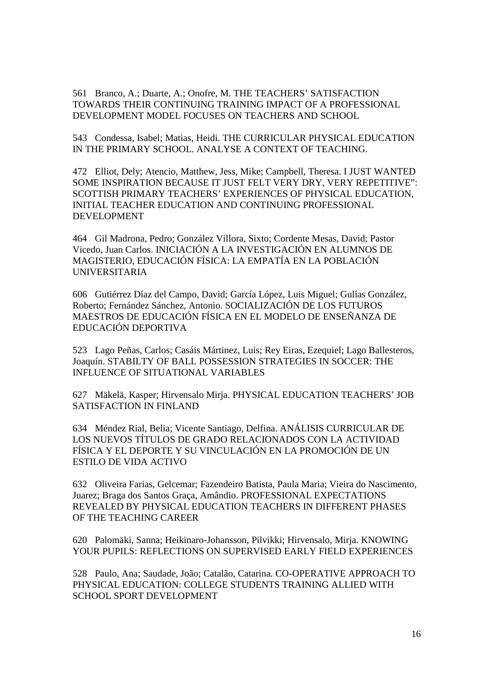561 Branco, A.; Duarte, A.; Onofre, M. THE TEACHERS' SATISFACTION TOWARDS THEIR CONTINUING TRAINING IMPACT OF A PROFESSIONAL DEVELOPMENT MODEL FOCUSES ON TEACHERS AND SCHOOL

543 Condessa, Isabel; Matias, Heidi. THE CURRICULAR PHYSICAL EDUCATION IN THE PRIMARY SCHOOL. ANALYSE A CONTEXT OF TEACHING.

472 Elliot, Dely; Atencio, Matthew, Jess, Mike; Campbell, Theresa. I JUST WANTED SOME INSPIRATION BECAUSE IT JUST FELT VERY DRY, VERY REPETITIVE": SCOTTISH PRIMARY TEACHERS' EXPERIENCES OF PHYSICAL EDUCATION, INITIAL TEACHER EDUCATION AND CONTINUING PROFESSIONAL DEVELOPMENT

464 Gil Madrona, Pedro; González Villora, Sixto; Cordente Mesas, David; Pastor Vicedo, Juan Carlos. INICIACIÓN A LA INVESTIGACIÓN EN ALUMNOS DE MAGISTERIO, EDUCACIÓN FÍSICA: LA EMPATÍA EN LA POBLACIÓN UNIVERSITARIA

606 Gutiérrez Díaz del Campo, David; García López, Luis Miguel; Gulías González, Roberto; Fernández Sánchez, Antonio. SOCIALIZACIÓN DE LOS FUTUROS MAESTROS DE EDUCACIÓN FÍSICA EN EL MODELO DE ENSEÑANZA DE EDUCACIÓN DEPORTIVA

523 Lago Peñas, Carlos; Casáis Mártinez, Luis; Rey Eiras, Ezequiel; Lago Ballesteros, Joaquín. STABILTY OF BALL POSSESSION STRATEGIES IN SOCCER: THE INFLUENCE OF SITUATIONAL VARIABLES

627 Mäkelä, Kasper; Hirvensalo Mirja. PHYSICAL EDUCATION TEACHERS' JOB SATISFACTION IN FINLAND

634 Méndez Rial, Belia; Vicente Santiago, Delfina. ANÁLISIS CURRICULAR DE LOS NUEVOS TÍTULOS DE GRADO RELACIONADOS CON LA ACTIVIDAD FÍSICA Y EL DEPORTE Y SU VINCULACIÓN EN LA PROMOCIÓN DE UN ESTILO DE VIDA ACTIVO

632 Oliveira Farias, Gelcemar; Fazendeiro Batista, Paula Maria; Vieira do Nascimento, Juarez; Braga dos Santos Graça, Amândio. PROFESSIONAL EXPECTATIONS REVEALED BY PHYSICAL EDUCATION TEACHERS IN DIFFERENT PHASES OF THE TEACHING CAREER

620 Palomäki, Sanna; Heikinaro-Johansson, Pilvikki; Hirvensalo, Mirja. KNOWING YOUR PUPILS: REFLECTIONS ON SUPERVISED EARLY FIELD EXPERIENCES

528 Paulo, Ana; Saudade, João; Catalão, Catarina. CO-OPERATIVE APPROACH TO PHYSICAL EDUCATION: COLLEGE STUDENTS TRAINING ALLIED WITH SCHOOL SPORT DEVELOPMENT